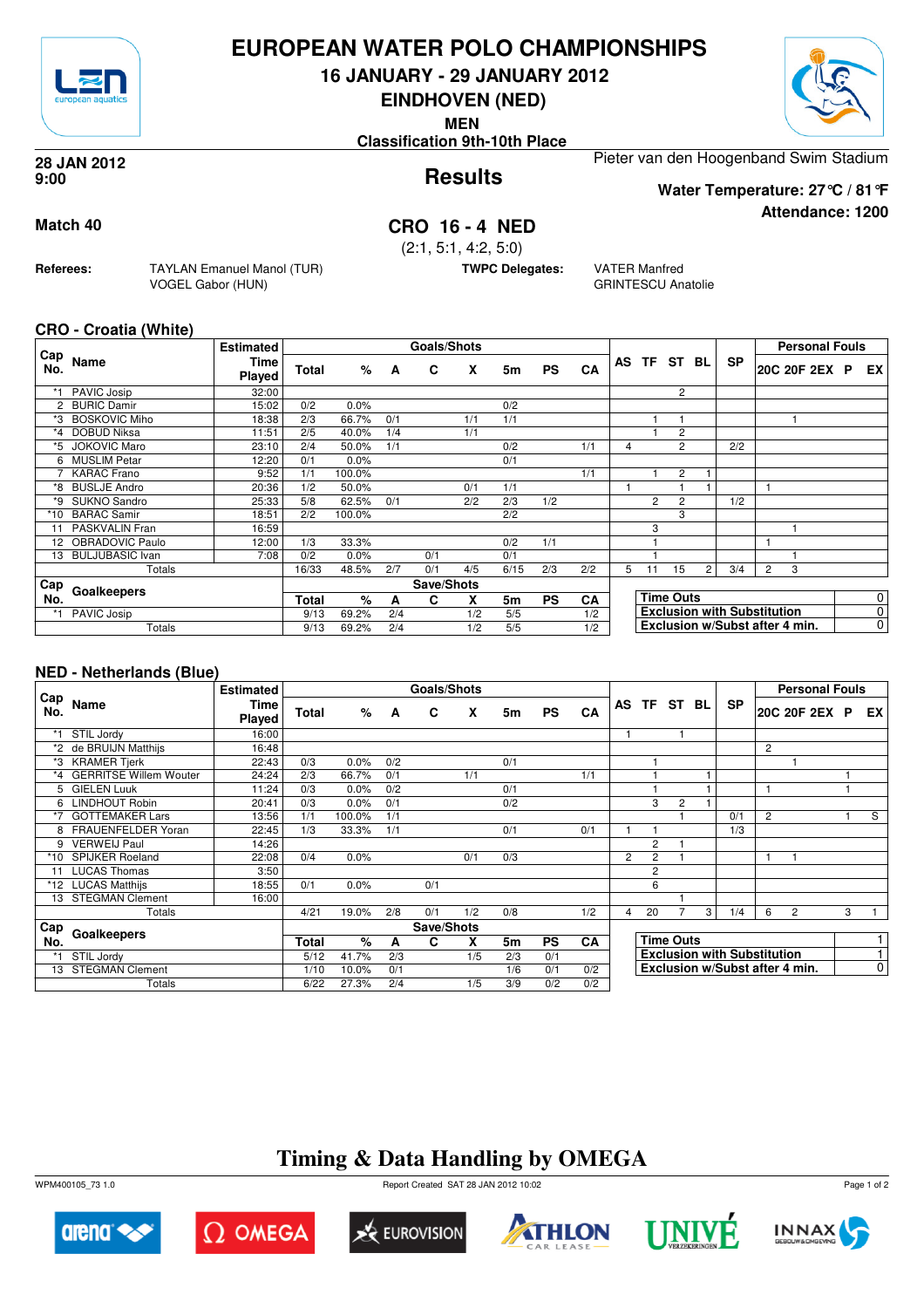

### **EUROPEAN WATER POLO CHAMPIONSHIPS**

**16 JANUARY - 29 JANUARY 2012**

**EINDHOVEN (NED)**

**MEN**

**Classification 9th-10th Place**



**Attendance: 1200**

**Results 28 JAN 2012 9:00**

Pieter van den Hoogenband Swim Stadium **Water Temperature: 27°C / 81°F**

**Match 40 CRO 16 - 4 NED**

(2:1, 5:1, 4:2, 5:0)

**TWPC Delegates:** VATER Manfred

GRINTESCU Anatolie

#### **CRO - Croatia (White)**

**Referees:** TAYLAN Emanuel Manol (TUR)

VOGEL Gabor (HUN)

|            |                        | <b>Estimated</b> |       |         |     | <b>Goals/Shots</b> |     |      |           |           |   |                |                  |                |                                    |                | <b>Personal Fouls</b> |                |
|------------|------------------------|------------------|-------|---------|-----|--------------------|-----|------|-----------|-----------|---|----------------|------------------|----------------|------------------------------------|----------------|-----------------------|----------------|
| Cap<br>No. | Name                   | Time<br>Played   | Total | %       | A   | C                  | X   | 5m   | <b>PS</b> | <b>CA</b> |   | AS TF          | ST               | BL             | <b>SP</b>                          |                | 20C 20F 2EX P         | <b>EX</b>      |
|            | PAVIC Josip            | 32:00            |       |         |     |                    |     |      |           |           |   |                | 2                |                |                                    |                |                       |                |
| 2          | <b>BURIC Damir</b>     | 15:02            | 0/2   | 0.0%    |     |                    |     | 0/2  |           |           |   |                |                  |                |                                    |                |                       |                |
| *3         | <b>BOSKOVIC Miho</b>   | 18:38            | 2/3   | 66.7%   | 0/1 |                    | 1/1 | 1/1  |           |           |   |                |                  |                |                                    |                |                       |                |
| *4         | DOBUD Niksa            | 11:51            | 2/5   | 40.0%   | 1/4 |                    | 1/1 |      |           |           |   |                | 2                |                |                                    |                |                       |                |
| *5.        | <b>JOKOVIC Maro</b>    | 23:10            | 2/4   | 50.0%   | 1/1 |                    |     | 0/2  |           | 1/1       | 4 |                | $\overline{2}$   |                | 2/2                                |                |                       |                |
| 6          | MUSLIM Petar           | 12:20            | 0/1   | $0.0\%$ |     |                    |     | 0/1  |           |           |   |                |                  |                |                                    |                |                       |                |
|            | <b>KARAC</b> Frano     | 9:52             | 1/1   | 100.0%  |     |                    |     |      |           | 1/1       |   |                | $\overline{c}$   |                |                                    |                |                       |                |
| *8         | <b>BUSLJE Andro</b>    | 20:36            | 1/2   | 50.0%   |     |                    | 0/1 | 1/1  |           |           |   |                |                  |                |                                    |                |                       |                |
| *9         | SUKNO Sandro           | 25:33            | 5/8   | 62.5%   | 0/1 |                    | 2/2 | 2/3  | 1/2       |           |   | $\overline{2}$ | $\overline{2}$   |                | 1/2                                |                |                       |                |
| *10        | <b>BARAC Samir</b>     | 18:51            | 2/2   | 100.0%  |     |                    |     | 2/2  |           |           |   |                | 3                |                |                                    |                |                       |                |
|            | 11 PASKVALIN Fran      | 16:59            |       |         |     |                    |     |      |           |           |   | 3              |                  |                |                                    |                |                       |                |
| 12         | OBRADOVIC Paulo        | 12:00            | 1/3   | 33.3%   |     |                    |     | 0/2  | 1/1       |           |   |                |                  |                |                                    |                |                       |                |
| 13         | <b>BULJUBASIC Ivan</b> | 7:08             | 0/2   | $0.0\%$ |     | 0/1                |     | 0/1  |           |           |   |                |                  |                |                                    |                |                       |                |
|            | Totals                 |                  | 16/33 | 48.5%   | 2/7 | 0/1                | 4/5 | 6/15 | 2/3       | 2/2       | 5 | 11             | 15               | $\overline{2}$ | 3/4                                | $\overline{2}$ | 3                     |                |
| Cap        |                        |                  |       |         |     | Save/Shots         |     |      |           |           |   |                |                  |                |                                    |                |                       |                |
| No.        | Goalkeepers            |                  | Total | %       | A   | C                  | X   | 5m   | <b>PS</b> | CA        |   |                | <b>Time Outs</b> |                |                                    |                |                       | 0              |
|            | PAVIC Josip            |                  | 9/13  | 69.2%   | 2/4 |                    | 1/2 | 5/5  |           | 1/2       |   |                |                  |                | <b>Exclusion with Substitution</b> |                |                       | $\overline{0}$ |
|            | Totals                 |                  | 9/13  | 69.2%   | 2/4 |                    | 1/2 | 5/5  |           | 1/2       |   |                |                  |                | Exclusion w/Subst after 4 min.     |                |                       | $\mathbf 0$    |

#### **NED - Netherlands (Blue)**

|            |                               | <b>Estimated</b>      |       |        |     | Goals/Shots |     |                |           |     |                |                  |                |          |                                    |                | <b>Personal Fouls</b>          |   |             |
|------------|-------------------------------|-----------------------|-------|--------|-----|-------------|-----|----------------|-----------|-----|----------------|------------------|----------------|----------|------------------------------------|----------------|--------------------------------|---|-------------|
| Cap<br>No. | Name                          | <b>Time</b><br>Played | Total | %      | A   | C           | X   | 5m             | <b>PS</b> | CA  | AS             |                  |                | TF ST BL | <b>SP</b>                          |                | 20C 20F 2EX P EX               |   |             |
|            | STIL Jordy                    | 16:00                 |       |        |     |             |     |                |           |     |                |                  |                |          |                                    |                |                                |   |             |
| *2         | de BRUIJN Matthijs            | 16:48                 |       |        |     |             |     |                |           |     |                |                  |                |          |                                    | $\overline{c}$ |                                |   |             |
|            | *3 KRAMER Tjerk               | 22:43                 | 0/3   | 0.0%   | 0/2 |             |     | 0/1            |           |     |                |                  |                |          |                                    |                |                                |   |             |
| *4         | <b>GERRITSE Willem Wouter</b> | 24:24                 | 2/3   | 66.7%  | 0/1 |             | 1/1 |                |           | 1/1 |                |                  |                |          |                                    |                |                                |   |             |
| 5          | <b>GIELEN Luuk</b>            | 11:24                 | 0/3   | 0.0%   | 0/2 |             |     | 0/1            |           |     |                |                  |                |          |                                    |                |                                |   |             |
| 6          | <b>LINDHOUT Robin</b>         | 20:41                 | 0/3   | 0.0%   | 0/1 |             |     | 0/2            |           |     |                | 3                | $\overline{2}$ |          |                                    |                |                                |   |             |
| *7         | <b>GOTTEMAKER Lars</b>        | 13:56                 | 1/1   | 100.0% | 1/1 |             |     |                |           |     |                |                  |                |          | 0/1                                | $\overline{c}$ |                                |   | S           |
|            | 8 FRAUENFELDER Yoran          | 22:45                 | 1/3   | 33.3%  | 1/1 |             |     | 0/1            |           | 0/1 |                |                  |                |          | 1/3                                |                |                                |   |             |
| 9          | <b>VERWEIJ Paul</b>           | 14:26                 |       |        |     |             |     |                |           |     |                | $\overline{2}$   |                |          |                                    |                |                                |   |             |
| *10        | <b>SPIJKER Roeland</b>        | 22:08                 | 0/4   | 0.0%   |     |             | 0/1 | 0/3            |           |     | $\overline{2}$ | $\overline{2}$   |                |          |                                    | 1              |                                |   |             |
|            | 11 LUCAS Thomas               | 3:50                  |       |        |     |             |     |                |           |     |                | $\overline{c}$   |                |          |                                    |                |                                |   |             |
|            | *12 LUCAS Matthijs            | 18:55                 | 0/1   | 0.0%   |     | 0/1         |     |                |           |     |                | 6                |                |          |                                    |                |                                |   |             |
| 13         | <b>STEGMAN Clement</b>        | 16:00                 |       |        |     |             |     |                |           |     |                |                  |                |          |                                    |                |                                |   |             |
|            | Totals                        |                       | 4/21  | 19.0%  | 2/8 | 0/1         | 1/2 | 0/8            |           | 1/2 | 4              | 20               |                | 3        | 1/4                                | 6              | $\overline{2}$                 | 3 |             |
| Cap        |                               |                       |       |        |     | Save/Shots  |     |                |           |     |                |                  |                |          |                                    |                |                                |   |             |
| No.        | Goalkeepers                   |                       | Total | %      | A   | C           | x   | 5 <sub>m</sub> | <b>PS</b> | CA  |                | <b>Time Outs</b> |                |          |                                    |                |                                |   | 1           |
|            | STIL Jordy                    |                       | 5/12  | 41.7%  | 2/3 |             | 1/5 | 2/3            | 0/1       |     |                |                  |                |          | <b>Exclusion with Substitution</b> |                |                                |   | 1           |
|            | 13 STEGMAN Clement            |                       | 1/10  | 10.0%  | 0/1 |             |     | 1/6            | 0/1       | 0/2 |                |                  |                |          |                                    |                | Exclusion w/Subst after 4 min. |   | $\mathbf 0$ |
|            | Totals                        |                       | 6/22  | 27.3%  | 2/4 |             | 1/5 | 3/9            | 0/2       | 0/2 |                |                  |                |          |                                    |                |                                |   |             |

## **Timing & Data Handling by OMEGA**

WPM400105\_73 1.0 Report Created SAT 28 JAN 2012 10:02













Page 1 of 2